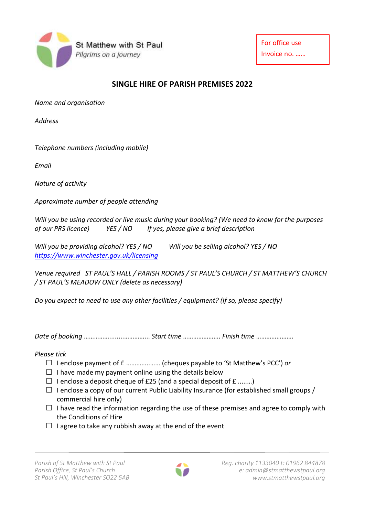

For office use Invoice no. ……

## **SINGLE HIRE OF PARISH PREMISES 2022**

*Name and organisation*

*Address* 

*Telephone numbers (including mobile)*

*Email*

*Nature of activity*

*Approximate number of people attending*

*Will you be using recorded or live music during your booking? (We need to know for the purposes of our PRS licence) YES / NO If yes, please give a brief description*

*Will you be providing alcohol? YES / NO Will you be selling alcohol? YES / NO <https://www.winchester.gov.uk/licensing>*

*Venue required ST PAUL'S HALL / PARISH ROOMS / ST PAUL'S CHURCH / ST MATTHEW'S CHURCH / ST PAUL'S MEADOW ONLY (delete as necessary)*

*Do you expect to need to use any other facilities / equipment? (If so, please specify)* 

*Date of booking* ……………........…………... *Start time* …………………. *Finish time* ………………….

*Please tick*

- I enclose payment of £ …………..…… (cheques payable to 'St Matthew's PCC') *or*
- $\Box$  I have made my payment online using the details below
- $\Box$  I enclose a deposit cheque of £25 (and a special deposit of £ ........)
- $\Box$  I enclose a copy of our current Public Liability Insurance (for established small groups / commercial hire only)
- $\Box$  I have read the information regarding the use of these premises and agree to comply with the Conditions of Hire
- $\Box$  I agree to take any rubbish away at the end of the event